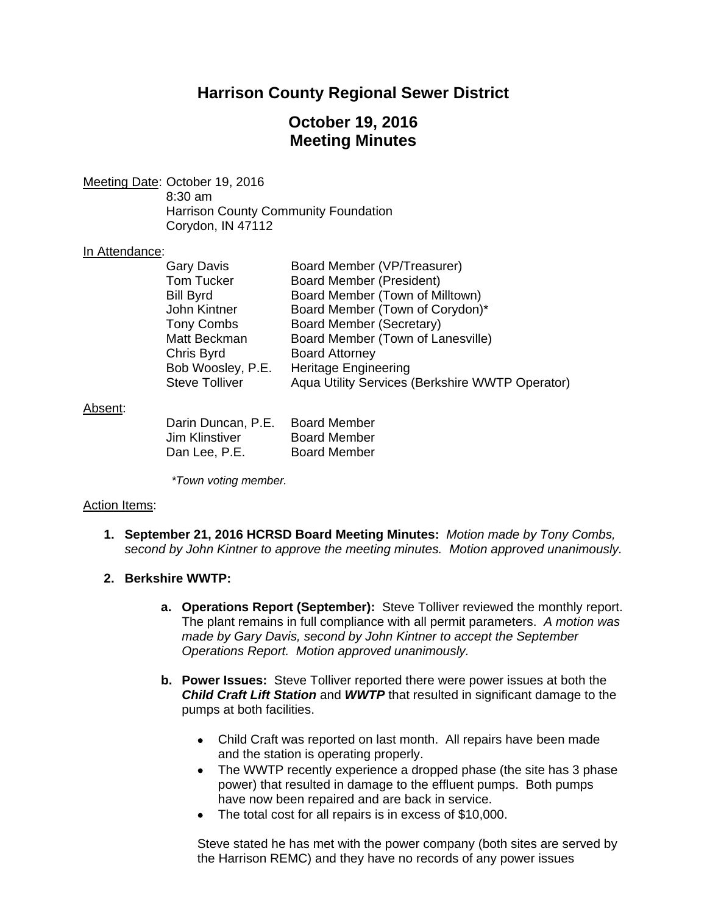## **Harrison County Regional Sewer District**

# **October 19, 2016 Meeting Minutes**

Meeting Date: October 19, 2016 8:30 am Harrison County Community Foundation Corydon, IN 47112

## In Attendance:

| <b>Gary Davis</b>     | Board Member (VP/Treasurer)                     |
|-----------------------|-------------------------------------------------|
| <b>Tom Tucker</b>     | <b>Board Member (President)</b>                 |
| <b>Bill Byrd</b>      | Board Member (Town of Milltown)                 |
| John Kintner          | Board Member (Town of Corydon)*                 |
| <b>Tony Combs</b>     | Board Member (Secretary)                        |
| Matt Beckman          | Board Member (Town of Lanesville)               |
| Chris Byrd            | <b>Board Attorney</b>                           |
| Bob Woosley, P.E.     | <b>Heritage Engineering</b>                     |
| <b>Steve Tolliver</b> | Aqua Utility Services (Berkshire WWTP Operator) |

#### Absent:

| Darin Duncan, P.E. | <b>Board Member</b> |
|--------------------|---------------------|
| Jim Klinstiver     | <b>Board Member</b> |
| Dan Lee, P.E.      | <b>Board Member</b> |

*\*Town voting member.* 

## Action Items:

**1. September 21, 2016 HCRSD Board Meeting Minutes:** *Motion made by Tony Combs, second by John Kintner to approve the meeting minutes. Motion approved unanimously.*

## **2. Berkshire WWTP:**

- **a. Operations Report (September):** Steve Tolliver reviewed the monthly report. The plant remains in full compliance with all permit parameters. *A motion was made by Gary Davis, second by John Kintner to accept the September Operations Report. Motion approved unanimously.*
- **b. Power Issues:** Steve Tolliver reported there were power issues at both the *Child Craft Lift Station* and *WWTP* that resulted in significant damage to the pumps at both facilities.
	- Child Craft was reported on last month. All repairs have been made and the station is operating properly.
	- The WWTP recently experience a dropped phase (the site has 3 phase power) that resulted in damage to the effluent pumps. Both pumps have now been repaired and are back in service.
	- The total cost for all repairs is in excess of \$10,000.

Steve stated he has met with the power company (both sites are served by the Harrison REMC) and they have no records of any power issues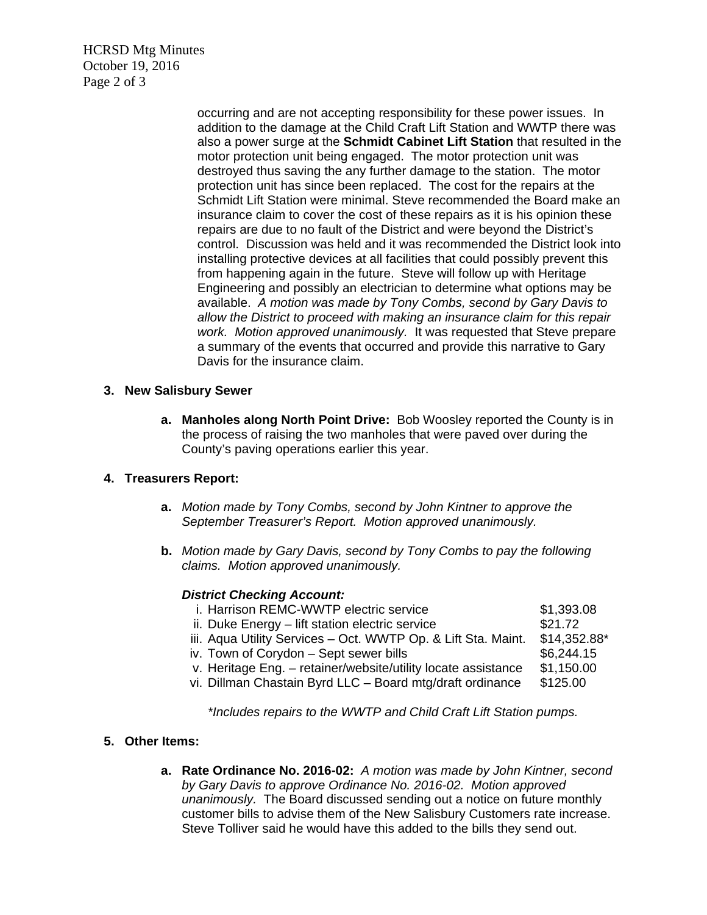HCRSD Mtg Minutes October 19, 2016 Page 2 of 3

> occurring and are not accepting responsibility for these power issues. In addition to the damage at the Child Craft Lift Station and WWTP there was also a power surge at the **Schmidt Cabinet Lift Station** that resulted in the motor protection unit being engaged. The motor protection unit was destroyed thus saving the any further damage to the station. The motor protection unit has since been replaced. The cost for the repairs at the Schmidt Lift Station were minimal. Steve recommended the Board make an insurance claim to cover the cost of these repairs as it is his opinion these repairs are due to no fault of the District and were beyond the District's control. Discussion was held and it was recommended the District look into installing protective devices at all facilities that could possibly prevent this from happening again in the future. Steve will follow up with Heritage Engineering and possibly an electrician to determine what options may be available. *A motion was made by Tony Combs, second by Gary Davis to allow the District to proceed with making an insurance claim for this repair work. Motion approved unanimously.* It was requested that Steve prepare a summary of the events that occurred and provide this narrative to Gary Davis for the insurance claim.

## **3. New Salisbury Sewer**

**a. Manholes along North Point Drive:** Bob Woosley reported the County is in the process of raising the two manholes that were paved over during the County's paving operations earlier this year.

## **4. Treasurers Report:**

- **a.** *Motion made by Tony Combs, second by John Kintner to approve the September Treasurer's Report. Motion approved unanimously.*
- **b.** *Motion made by Gary Davis, second by Tony Combs to pay the following claims. Motion approved unanimously.*

## *District Checking Account:*

| i. Harrison REMC-WWTP electric service                        | \$1,393.08     |
|---------------------------------------------------------------|----------------|
| ii. Duke Energy - lift station electric service               | \$21.72        |
| iii. Aqua Utility Services - Oct. WWTP Op. & Lift Sta. Maint. | $$14,352.88$ * |
| iv. Town of Corydon - Sept sewer bills                        | \$6,244.15     |
| v. Heritage Eng. - retainer/website/utility locate assistance | \$1,150.00     |
| vi. Dillman Chastain Byrd LLC - Board mtg/draft ordinance     | \$125.00       |

*\*Includes repairs to the WWTP and Child Craft Lift Station pumps.* 

## **5. Other Items:**

**a. Rate Ordinance No. 2016-02:** *A motion was made by John Kintner, second by Gary Davis to approve Ordinance No. 2016-02. Motion approved unanimously.* The Board discussed sending out a notice on future monthly customer bills to advise them of the New Salisbury Customers rate increase. Steve Tolliver said he would have this added to the bills they send out.